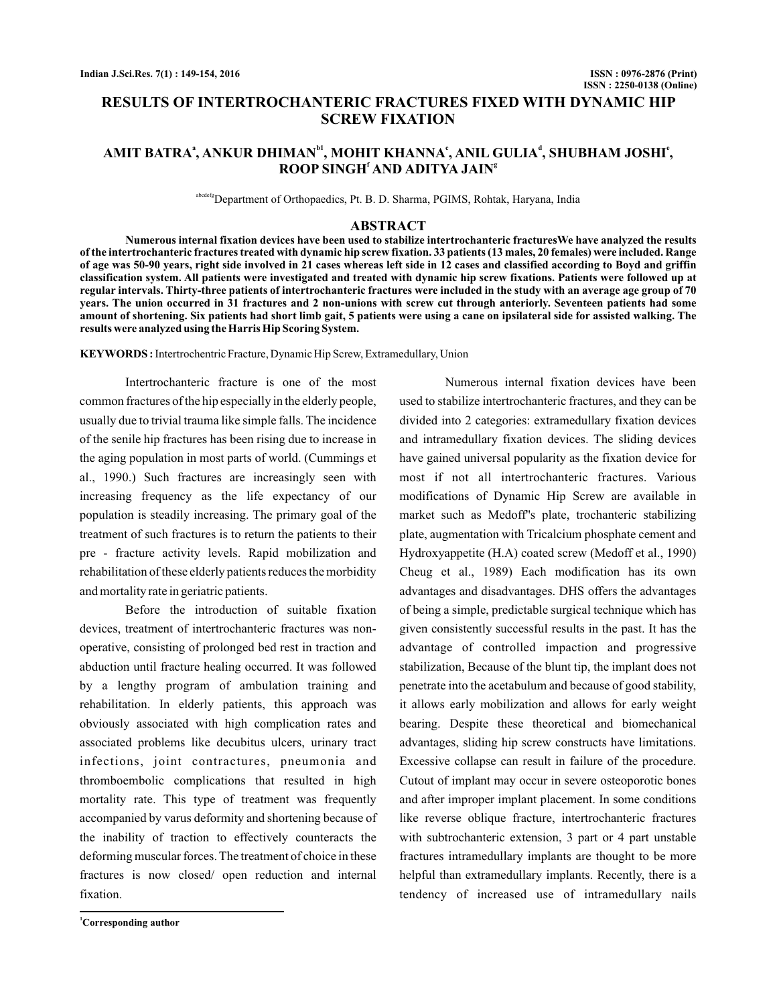# **RESULTS OF INTERTROCHANTERIC FRACTURES FIXED WITH DYNAMIC HIP SCREW FIXATION**

# $\mathbf{AMIT\ BATRA}^{a}, \mathbf{ANKUR\ DHIMAN}^{b1}, \mathbf{MOHIT\ KHANNA}^{c}, \mathbf{ANIL\ GULLA}^{d}, \mathbf{SHUBHAM\ JOSHI}^{e},$  $\mathbf{ROOP}\ \mathbf{SINGH}^{\mathsf{f}}\ \mathbf{AND}\ \mathbf{ADITYA}\ \mathbf{JAIN}^{\mathsf{g}}$

abcdefgDepartment of Orthopaedics, Pt. B. D. Sharma, PGIMS, Rohtak, Haryana, India

#### **ABSTRACT**

**Numerous internal fixation devices have been used to stabilize intertrochanteric fracturesWe have analyzed the results of the intertrochanteric fractures treated with dynamic hip screw fixation. 33 patients (13 males, 20 females) were included. Range of age was 50-90 years, right side involved in 21 cases whereas left side in 12 cases and classified according to Boyd and griffin classification system. All patients were investigated and treated with dynamic hip screw fixations. Patients were followed up at regular intervals. Thirty-three patients of intertrochanteric fractures were included in the study with an average age group of 70 years. The union occurred in 31 fractures and 2 non-unions with screw cut through anteriorly. Seventeen patients had some amount of shortening. Six patients had short limb gait, 5 patients were using a cane on ipsilateral side for assisted walking. The results were analyzed using the Harris Hip Scoring System.**

**KEYWORDS :**Intertrochentric Fracture, Dynamic Hip Screw, Extramedullary, Union

Intertrochanteric fracture is one of the most common fractures of the hip especially in the elderly people, usually due to trivial trauma like simple falls. The incidence of the senile hip fractures has been rising due to increase in the aging population in most parts of world. (Cummings et al., 1990.) Such fractures are increasingly seen with increasing frequency as the life expectancy of our population is steadily increasing. The primary goal of the treatment of such fractures is to return the patients to their pre - fracture activity levels. Rapid mobilization and rehabilitation of these elderly patients reduces the morbidity and mortality rate in geriatric patients.

Before the introduction of suitable fixation devices, treatment of intertrochanteric fractures was nonoperative, consisting of prolonged bed rest in traction and abduction until fracture healing occurred. It was followed by a lengthy program of ambulation training and rehabilitation. In elderly patients, this approach was obviously associated with high complication rates and associated problems like decubitus ulcers, urinary tract infections, joint contractures, pneumonia and thromboembolic complications that resulted in high mortality rate. This type of treatment was frequently accompanied by varus deformity and shortening because of the inability of traction to effectively counteracts the deforming muscular forces. The treatment of choice in these fractures is now closed/ open reduction and internal fixation.

**<sup>1</sup>Corresponding author**

Numerous internal fixation devices have been used to stabilize intertrochanteric fractures, and they can be divided into 2 categories: extramedullary fixation devices and intramedullary fixation devices. The sliding devices have gained universal popularity as the fixation device for most if not all intertrochanteric fractures. Various modifications of Dynamic Hip Screw are available in market such as Medoff''s plate, trochanteric stabilizing plate, augmentation with Tricalcium phosphate cement and Hydroxyappetite (H.A) coated screw (Medoff et al., 1990) Cheug et al., 1989) Each modification has its own advantages and disadvantages. DHS offers the advantages of being a simple, predictable surgical technique which has given consistently successful results in the past. It has the advantage of controlled impaction and progressive stabilization, Because of the blunt tip, the implant does not penetrate into the acetabulum and because of good stability, it allows early mobilization and allows for early weight bearing. Despite these theoretical and biomechanical advantages, sliding hip screw constructs have limitations. Excessive collapse can result in failure of the procedure. Cutout of implant may occur in severe osteoporotic bones and after improper implant placement. In some conditions like reverse oblique fracture, intertrochanteric fractures with subtrochanteric extension, 3 part or 4 part unstable fractures intramedullary implants are thought to be more helpful than extramedullary implants. Recently, there is a tendency of increased use of intramedullary nails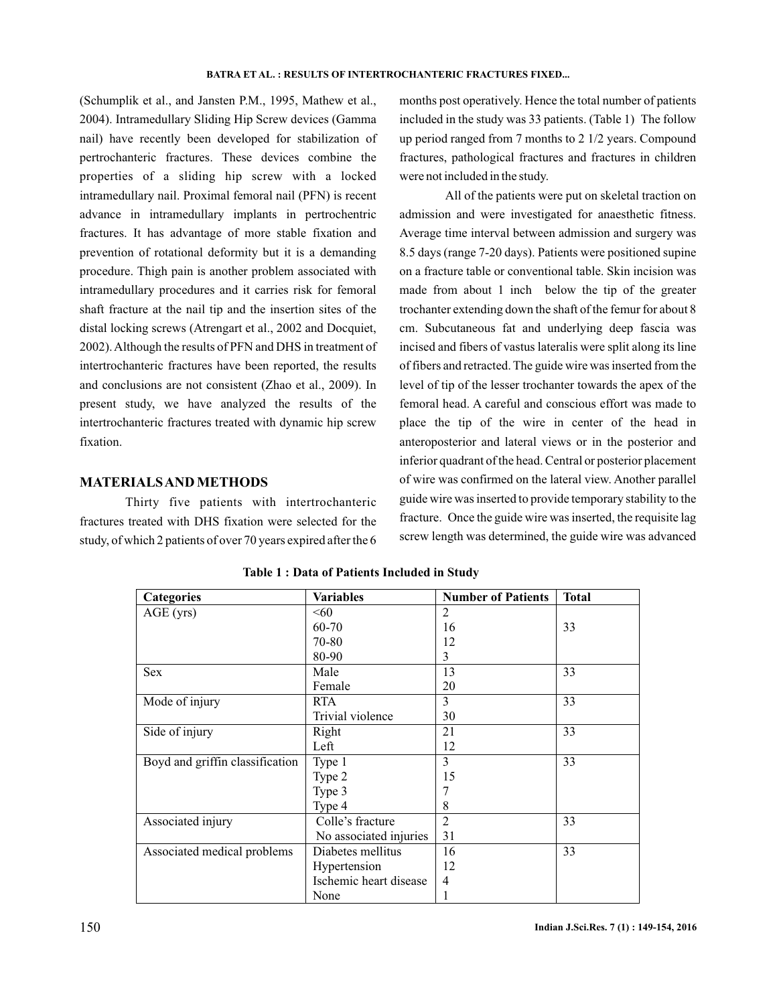(Schumplik et al., and Jansten P.M., 1995, Mathew et al., 2004). Intramedullary Sliding Hip Screw devices (Gamma nail) have recently been developed for stabilization of pertrochanteric fractures. These devices combine the properties of a sliding hip screw with a locked intramedullary nail. Proximal femoral nail (PFN) is recent advance in intramedullary implants in pertrochentric fractures. It has advantage of more stable fixation and prevention of rotational deformity but it is a demanding procedure. Thigh pain is another problem associated with intramedullary procedures and it carries risk for femoral shaft fracture at the nail tip and the insertion sites of the distal locking screws (Atrengart et al., 2002 and Docquiet, 2002).Although the results of PFN and DHS in treatment of intertrochanteric fractures have been reported, the results and conclusions are not consistent (Zhao et al., 2009). In present study, we have analyzed the results of the intertrochanteric fractures treated with dynamic hip screw fixation.

### **MATERIALSAND METHODS**

Thirty five patients with intertrochanteric fractures treated with DHS fixation were selected for the study, of which 2 patients of over 70 years expired after the 6 months post operatively. Hence the total number of patients included in the study was 33 patients. (Table 1) The follow up period ranged from 7 months to 2 1/2 years. Compound fractures, pathological fractures and fractures in children were not included in the study.

All of the patients were put on skeletal traction on admission and were investigated for anaesthetic fitness. Average time interval between admission and surgery was 8.5 days (range 7-20 days). Patients were positioned supine on a fracture table or conventional table. Skin incision was made from about 1 inch below the tip of the greater trochanter extending down the shaft of the femur for about 8 cm. Subcutaneous fat and underlying deep fascia was incised and fibers of vastus lateralis were split along its line of fibers and retracted. The guide wire was inserted from the level of tip of the lesser trochanter towards the apex of the femoral head. A careful and conscious effort was made to place the tip of the wire in center of the head in anteroposterior and lateral views or in the posterior and inferior quadrant of the head. Central or posterior placement of wire was confirmed on the lateral view. Another parallel guide wire was inserted to provide temporary stability to the fracture. Once the guide wire was inserted, the requisite lag screw length was determined, the guide wire was advanced

| Categories                      | <b>Variables</b>       | <b>Number of Patients</b> | <b>Total</b> |
|---------------------------------|------------------------|---------------------------|--------------|
| AGE (yrs)                       | < 60                   | 2                         |              |
|                                 | 60-70                  | 16                        | 33           |
|                                 | 70-80                  | 12                        |              |
|                                 | 80-90                  | 3                         |              |
| <b>Sex</b>                      | Male                   | 13                        | 33           |
|                                 | Female                 | 20                        |              |
| Mode of injury                  | <b>RTA</b>             | 3                         | 33           |
|                                 | Trivial violence       | 30                        |              |
| Side of injury                  | Right                  | 21                        | 33           |
|                                 | Left                   | 12                        |              |
| Boyd and griffin classification | Type 1                 | 3                         | 33           |
|                                 | Type 2                 | 15                        |              |
|                                 | Type 3                 | 7                         |              |
|                                 | Type 4                 | 8                         |              |
| Associated injury               | Colle's fracture       | $\overline{2}$            | 33           |
|                                 | No associated injuries | 31                        |              |
| Associated medical problems     | Diabetes mellitus      | 16                        | 33           |
|                                 | Hypertension           | 12                        |              |
|                                 | Ischemic heart disease | 4                         |              |
|                                 | None                   |                           |              |

**Table 1 : Data of Patients Included in Study**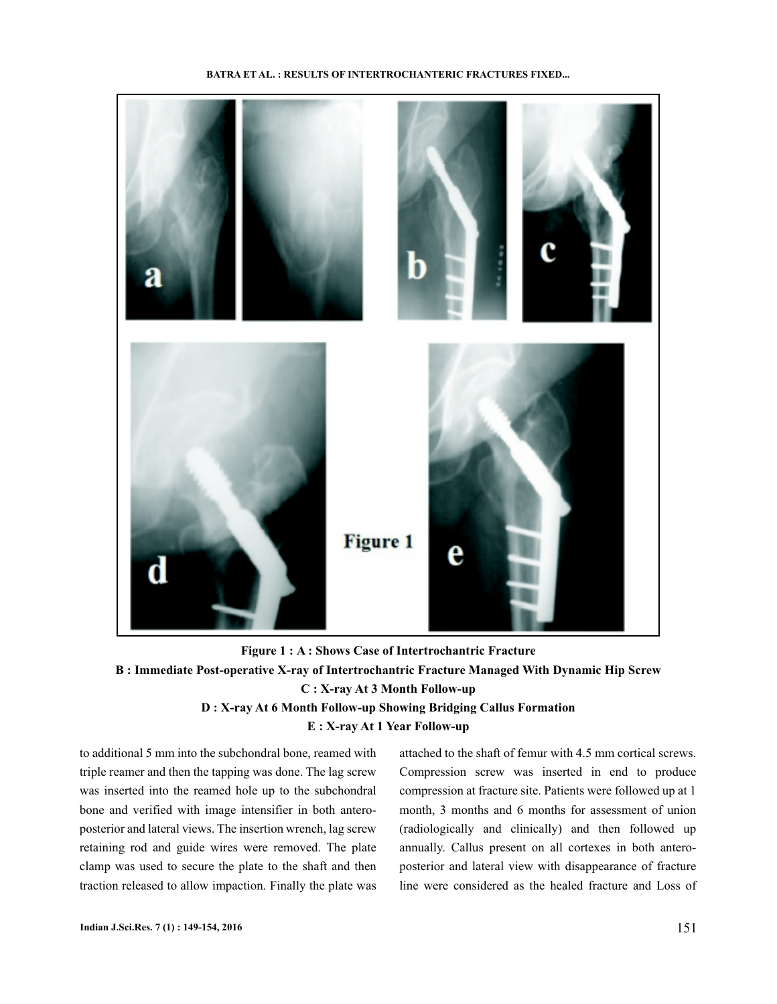#### **BATRA ET AL. : RESULTS OF INTERTROCHANTERIC FRACTURES FIXED...**



**Figure 1 : A : Shows Case of Intertrochantric Fracture B : Immediate Post-operative X-ray of Intertrochantric Fracture Managed With Dynamic Hip Screw C : X-ray At 3 Month Follow-up D : X-ray At 6 Month Follow-up Showing Bridging Callus Formation E : X-ray At 1 Year Follow-up**

to additional 5 mm into the subchondral bone, reamed with triple reamer and then the tapping was done. The lag screw was inserted into the reamed hole up to the subchondral bone and verified with image intensifier in both anteroposterior and lateral views. The insertion wrench, lag screw retaining rod and guide wires were removed. The plate clamp was used to secure the plate to the shaft and then traction released to allow impaction. Finally the plate was attached to the shaft of femur with 4.5 mm cortical screws. Compression screw was inserted in end to produce compression at fracture site. Patients were followed up at 1 month, 3 months and 6 months for assessment of union (radiologically and clinically) and then followed up annually. Callus present on all cortexes in both anteroposterior and lateral view with disappearance of fracture line were considered as the healed fracture and Loss of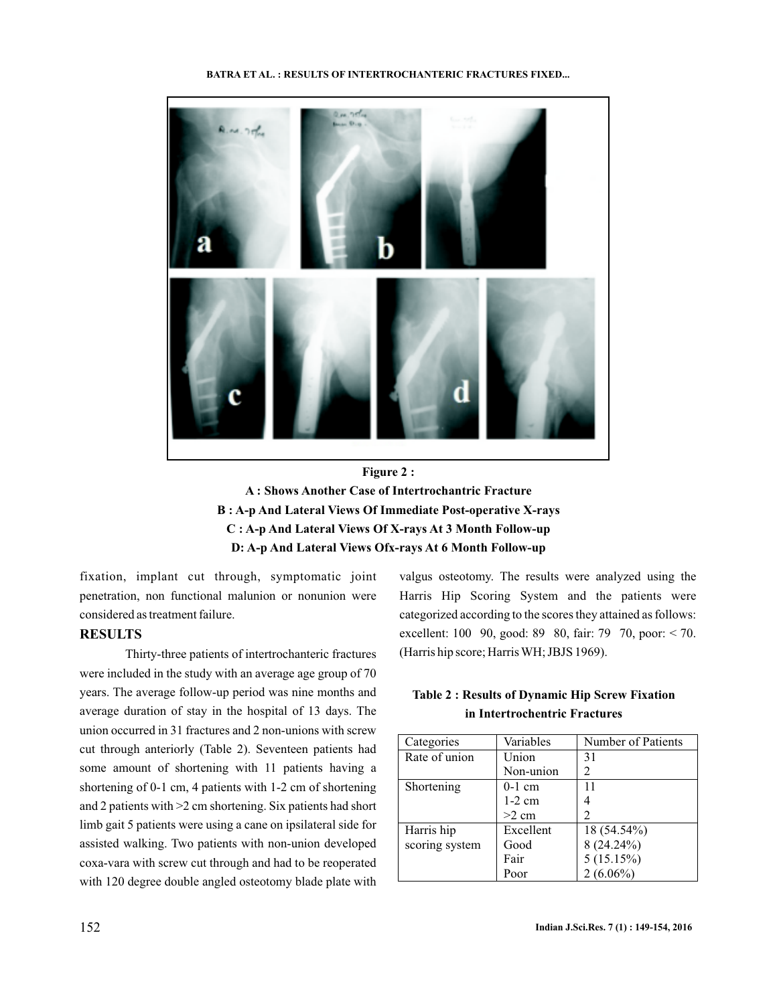#### **BATRA ET AL. : RESULTS OF INTERTROCHANTERIC FRACTURES FIXED...**





fixation, implant cut through, symptomatic joint penetration, non functional malunion or nonunion were considered as treatment failure.

## **RESULTS**

Thirty-three patients of intertrochanteric fractures were included in the study with an average age group of 70 years. The average follow-up period was nine months and average duration of stay in the hospital of 13 days. The union occurred in 31 fractures and 2 non-unions with screw cut through anteriorly (Table 2). Seventeen patients had some amount of shortening with 11 patients having a shortening of 0-1 cm, 4 patients with 1-2 cm of shortening and 2 patients with >2 cm shortening. Six patients had short limb gait 5 patients were using a cane on ipsilateral side for assisted walking. Two patients with non-union developed coxa-vara with screw cut through and had to be reoperated with 120 degree double angled osteotomy blade plate with

valgus osteotomy. The results were analyzed using the Harris Hip Scoring System and the patients were categorized according to the scores they attained as follows: excellent: 100 90, good: 89 80, fair: 79 70, poor: < 70. (Harris hip score; Harris WH; JBJS 1969).

| Categories     | Variables | Number of Patients |  |
|----------------|-----------|--------------------|--|
| Rate of union  | Union     | 31                 |  |
|                | Non-union | 2                  |  |
| Shortening     | $0-1$ cm  | 11                 |  |
|                | $1-2$ cm  |                    |  |
|                | $>2$ cm   | $\mathfrak{D}$     |  |
| Harris hip     | Excellent | 18 (54.54%)        |  |
| scoring system | Good      | 8 (24.24%)         |  |
|                | Fair      | 5(15.15%)          |  |
|                | Poor      | $2(6.06\%)$        |  |

## **Table 2 : Results of Dynamic Hip Screw Fixation in Intertrochentric Fractures**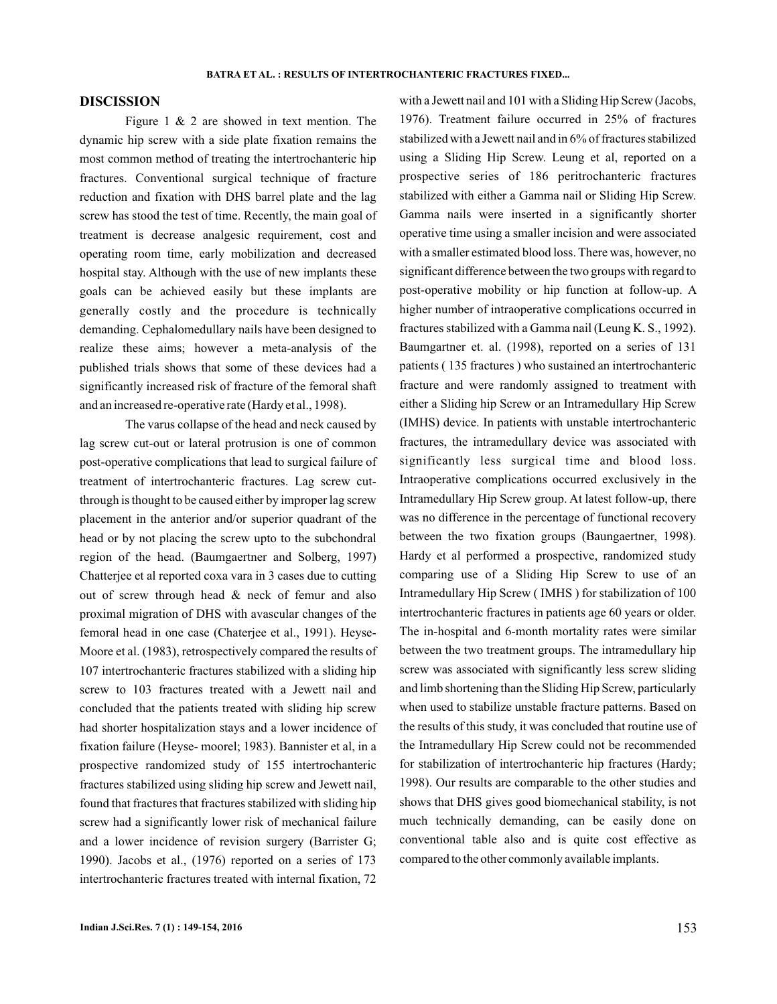#### **DISCISSION**

Figure 1 & 2 are showed in text mention. The dynamic hip screw with a side plate fixation remains the most common method of treating the intertrochanteric hip fractures. Conventional surgical technique of fracture reduction and fixation with DHS barrel plate and the lag screw has stood the test of time. Recently, the main goal of treatment is decrease analgesic requirement, cost and operating room time, early mobilization and decreased hospital stay. Although with the use of new implants these goals can be achieved easily but these implants are generally costly and the procedure is technically demanding. Cephalomedullary nails have been designed to realize these aims; however a meta-analysis of the published trials shows that some of these devices had a significantly increased risk of fracture of the femoral shaft and an increased re-operative rate (Hardy et al., 1998).

The varus collapse of the head and neck caused by lag screw cut-out or lateral protrusion is one of common post-operative complications that lead to surgical failure of treatment of intertrochanteric fractures. Lag screw cutthrough is thought to be caused either by improper lag screw placement in the anterior and/or superior quadrant of the head or by not placing the screw upto to the subchondral region of the head. (Baumgaertner and Solberg, 1997) Chatterjee et al reported coxa vara in 3 cases due to cutting out of screw through head & neck of femur and also proximal migration of DHS with avascular changes of the femoral head in one case (Chaterjee et al., 1991). Heyse-Moore et al. (1983), retrospectively compared the results of 107 intertrochanteric fractures stabilized with a sliding hip screw to 103 fractures treated with a Jewett nail and concluded that the patients treated with sliding hip screw had shorter hospitalization stays and a lower incidence of fixation failure (Heyse- moorel; 1983). Bannister et al, in a prospective randomized study of 155 intertrochanteric fractures stabilized using sliding hip screw and Jewett nail, found that fractures that fractures stabilized with sliding hip screw had a significantly lower risk of mechanical failure and a lower incidence of revision surgery (Barrister G; 1990). Jacobs et al., (1976) reported on a series of 173 intertrochanteric fractures treated with internal fixation, 72

with a Jewett nail and 101 with a Sliding Hip Screw (Jacobs, 1976). Treatment failure occurred in 25% of fractures stabilized with a Jewett nail and in 6% of fractures stabilized using a Sliding Hip Screw. Leung et al, reported on a prospective series of 186 peritrochanteric fractures stabilized with either a Gamma nail or Sliding Hip Screw. Gamma nails were inserted in a significantly shorter operative time using a smaller incision and were associated with a smaller estimated blood loss. There was, however, no significant difference between the two groups with regard to post-operative mobility or hip function at follow-up. A higher number of intraoperative complications occurred in fractures stabilized with a Gamma nail (Leung K. S., 1992). Baumgartner et. al. (1998), reported on a series of 131 patients ( 135 fractures ) who sustained an intertrochanteric fracture and were randomly assigned to treatment with either a Sliding hip Screw or an Intramedullary Hip Screw (IMHS) device. In patients with unstable intertrochanteric fractures, the intramedullary device was associated with significantly less surgical time and blood loss. Intraoperative complications occurred exclusively in the Intramedullary Hip Screw group. At latest follow-up, there was no difference in the percentage of functional recovery between the two fixation groups (Baungaertner, 1998). Hardy et al performed a prospective, randomized study comparing use of a Sliding Hip Screw to use of an Intramedullary Hip Screw ( IMHS ) for stabilization of 100 intertrochanteric fractures in patients age 60 years or older. The in-hospital and 6-month mortality rates were similar between the two treatment groups. The intramedullary hip screw was associated with significantly less screw sliding and limb shortening than the Sliding Hip Screw, particularly when used to stabilize unstable fracture patterns. Based on the results of this study, it was concluded that routine use of the Intramedullary Hip Screw could not be recommended for stabilization of intertrochanteric hip fractures (Hardy; 1998). Our results are comparable to the other studies and shows that DHS gives good biomechanical stability, is not much technically demanding, can be easily done on conventional table also and is quite cost effective as compared to the other commonly available implants.